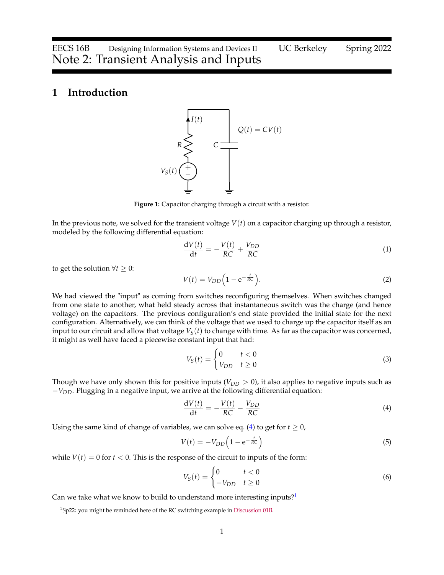## **1 Introduction**



**Figure 1:** Capacitor charging through a circuit with a resistor.

In the previous note, we solved for the transient voltage *V*(*t*) on a capacitor charging up through a resistor, modeled by the following differential equation:

$$
\frac{\mathrm{d}V(t)}{\mathrm{d}t} = -\frac{V(t)}{RC} + \frac{V_{DD}}{RC} \tag{1}
$$

to get the solution  $∀t ≥ 0$ :

<span id="page-0-2"></span>
$$
V(t) = V_{DD} \left( 1 - e^{-\frac{t}{RC}} \right). \tag{2}
$$

We had viewed the "input" as coming from switches reconfiguring themselves. When switches changed from one state to another, what held steady across that instantaneous switch was the charge (and hence voltage) on the capacitors. The previous configuration's end state provided the initial state for the next configuration. Alternatively, we can think of the voltage that we used to charge up the capacitor itself as an input to our circuit and allow that voltage  $V_S(t)$  to change with time. As far as the capacitor was concerned, it might as well have faced a piecewise constant input that had:

$$
V_S(t) = \begin{cases} 0 & t < 0 \\ V_{DD} & t \ge 0 \end{cases} \tag{3}
$$

Though we have only shown this for positive inputs  $(V_{DD} > 0)$ , it also applies to negative inputs such as −*VDD*. Plugging in a negative input, we arrive at the following differential equation:

<span id="page-0-0"></span>
$$
\frac{\mathrm{d}V(t)}{\mathrm{d}t} = -\frac{V(t)}{RC} - \frac{V_{DD}}{RC} \tag{4}
$$

Using the same kind of change of variables, we can solve eq. [\(4\)](#page-0-0) to get for  $t \geq 0$ ,

$$
V(t) = -V_{DD}\left(1 - e^{-\frac{t}{RC}}\right)
$$
\n<sup>(5)</sup>

while  $V(t) = 0$  for  $t < 0$ . This is the response of the circuit to inputs of the form:

$$
V_S(t) = \begin{cases} 0 & t < 0 \\ -V_{DD} & t \ge 0 \end{cases} \tag{6}
$$

Can we take what we know to build to understand more interesting inputs? $1$ 

<span id="page-0-1"></span><sup>&</sup>lt;sup>1</sup>Sp22: you might be reminded here of the RC switching example in [Discussion 01B.](https://eecs16b.org/discussion/dis01B.pdf)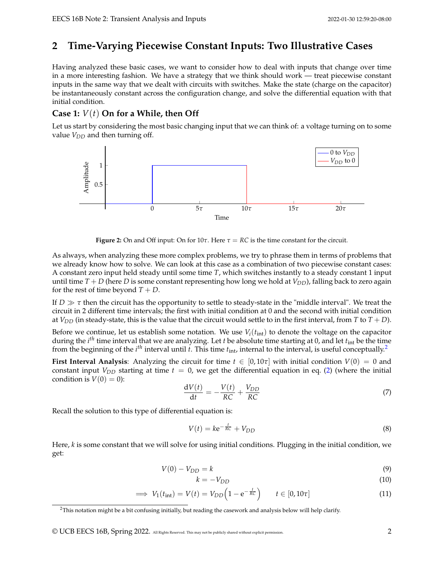# **2 Time-Varying Piecewise Constant Inputs: Two Illustrative Cases**

Having analyzed these basic cases, we want to consider how to deal with inputs that change over time in a more interesting fashion. We have a strategy that we think should work — treat piecewise constant inputs in the same way that we dealt with circuits with switches. Make the state (charge on the capacitor) be instantaneously constant across the configuration change, and solve the differential equation with that initial condition.

## **Case 1:** *V*(*t*) **On for a While, then Off**

Let us start by considering the most basic changing input that we can think of: a voltage turning on to some value  $V_{DD}$  and then turning off.



**Figure 2:** On and Off input: On for  $10\tau$ . Here  $\tau = RC$  is the time constant for the circuit.

As always, when analyzing these more complex problems, we try to phrase them in terms of problems that we already know how to solve. We can look at this case as a combination of two piecewise constant cases: A constant zero input held steady until some time *T*, which switches instantly to a steady constant 1 input until time  $T + D$  (here *D* is some constant representing how long we hold at  $V_{DD}$ ), falling back to zero again for the rest of time beyond  $T + D$ .

If  $D \gg \tau$  then the circuit has the opportunity to settle to steady-state in the "middle interval". We treat the circuit in 2 different time intervals; the first with initial condition at 0 and the second with initial condition at  $V_{DD}$  (in steady-state, this is the value that the circuit would settle to in the first interval, from *T* to *T* + *D*).

Before we continue, let us establish some notation. We use  $V_i(t_{int})$  to denote the voltage on the capacitor during the *i th* time interval that we are analyzing. Let *t* be absolute time starting at 0, and let *t*int be the time from the beginning of the *i<sup>th</sup>* interval until *t*. This time  $t_{\text{int}}$ , internal to the interval, is useful conceptually.<sup>[2](#page-1-0)</sup>

**First Interval Analysis**: Analyzing the circuit for time  $t \in [0, 10\tau]$  with initial condition  $V(0) = 0$  and constant input  $V_{DD}$  starting at time  $t = 0$ , we get the differential equation in eq. [\(2\)](#page-0-2) (where the initial condition is  $V(0) = 0$ :

$$
\frac{\mathrm{d}V(t)}{\mathrm{d}t} = -\frac{V(t)}{RC} + \frac{V_{DD}}{RC}
$$
\n(7)

Recall the solution to this type of differential equation is:

$$
V(t) = k e^{-\frac{t}{RC}} + V_{DD}
$$
 (8)

Here, *k* is some constant that we will solve for using initial conditions. Plugging in the initial condition, we get:

$$
V(0) - V_{DD} = k \tag{9}
$$

$$
k = -V_{DD} \tag{10}
$$

$$
\implies V_1(t_{\rm int}) = V(t) = V_{DD}\left(1 - e^{-\frac{t}{RC}}\right) \qquad t \in [0, 10\tau]
$$
\n(11)

<span id="page-1-0"></span> $2$ This notation might be a bit confusing initially, but reading the casework and analysis below will help clarify.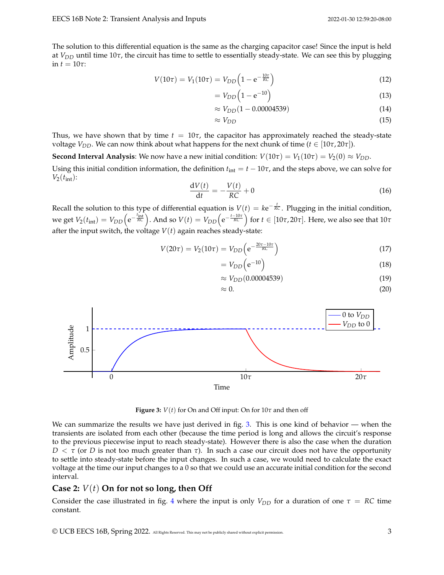The solution to this differential equation is the same as the charging capacitor case! Since the input is held at  $V_{DD}$  until time 10 $\tau$ , the circuit has time to settle to essentially steady-state. We can see this by plugging in  $t = 10\tau$ :

$$
V(10\tau) = V_1(10\tau) = V_{DD}\left(1 - e^{-\frac{10\tau}{RC}}\right)
$$
\n(12)

$$
=V_{DD}\left(1-\mathrm{e}^{-10}\right) \tag{13}
$$

$$
\approx V_{DD}(1 - 0.00004539) \tag{14}
$$

$$
\approx V_{DD} \tag{15}
$$

Thus, we have shown that by time  $t = 10\tau$ , the capacitor has approximately reached the steady-state voltage  $V_{DD}$ . We can now think about what happens for the next chunk of time ( $t \in [10\tau, 20\tau]$ ).

**Second Interval Analysis**: We now have a new initial condition:  $V(10\tau) = V_1(10\tau) = V_2(0) \approx V_{DD}$ .

Using this initial condition information, the definition  $t_{\text{int}} = t - 10\tau$ , and the steps above, we can solve for  $V_2(t_{\rm int})$ :

$$
\frac{\mathrm{d}V(t)}{\mathrm{d}t} = -\frac{V(t)}{RC} + 0\tag{16}
$$

Recall the solution to this type of differential equation is  $V(t) = k e^{-\frac{t}{RC}}$ . Plugging in the initial condition, we get  $V_2(t_{\rm int})=V_{DD}\bigl( {\rm e}^{-\frac{t_{\rm int}}{RC}}\bigr)$ . And so  $V(t)=V_{DD}\bigl( {\rm e}^{-\frac{t-10\tau}{RC}}\bigr)$  for  $t\in [10\tau,20\tau].$  Here, we also see that  $10\tau$ after the input switch, the voltage  $V(t)$  again reaches steady-state:

$$
V(20\tau) = V_2(10\tau) = V_{DD}\left(e^{-\frac{20\tau - 10\tau}{RC}}\right)
$$
\n(17)

$$
=V_{DD}\left(e^{-10}\right) \tag{18}
$$

$$
\approx V_{DD}(0.00004539) \tag{19}
$$

$$
\approx 0.\tag{20}
$$

<span id="page-2-0"></span>

**Figure 3:**  $V(t)$  for On and Off input: On for  $10\tau$  and then off

We can summarize the results we have just derived in fig. [3.](#page-2-0) This is one kind of behavior  $-$  when the transients are isolated from each other (because the time period is long and allows the circuit's response to the previous piecewise input to reach steady-state). However there is also the case when the duration *D*  $\lt$  *τ* (or *D* is not too much greater than *τ*). In such a case our circuit does not have the opportunity to settle into steady-state before the input changes. In such a case, we would need to calculate the exact voltage at the time our input changes to a 0 so that we could use an accurate initial condition for the second interval.

## **Case 2:** *V*(*t*) **On for not so long, then Off**

Consider the case illustrated in fig. [4](#page-3-0) where the input is only  $V_{DD}$  for a duration of one  $\tau = RC$  time constant.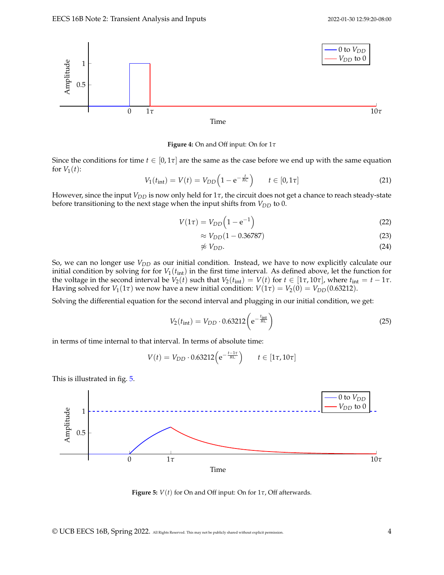<span id="page-3-0"></span>

**Figure 4:** On and Off input: On for 1*τ*

Since the conditions for time  $t \in [0, 1\tau]$  are the same as the case before we end up with the same equation for  $V_1(t)$ :

$$
V_1(t_{\rm int}) = V(t) = V_{DD}\left(1 - e^{-\frac{t}{RC}}\right) \qquad t \in [0, 1\tau]
$$
 (21)

However, since the input *V<sub>DD</sub>* is now only held for 1*τ*, the circuit does not get a chance to reach steady-state before transitioning to the next stage when the input shifts from *VDD* to 0.

$$
V(1\tau) = V_{DD}\left(1 - e^{-1}\right) \tag{22}
$$

$$
\approx V_{DD}(1 - 0.36787) \tag{23}
$$

$$
\not\approx V_{DD}.\tag{24}
$$

So, we can no longer use *VDD* as our initial condition. Instead, we have to now explicitly calculate our initial condition by solving for for  $V_1(t_{int})$  in the first time interval. As defined above, let the function for the voltage in the second interval be  $V_2(t)$  such that  $V_2(t_{int}) = V(t)$  for  $t \in [1\tau, 10\tau]$ , where  $t_{int} = t - 1\tau$ . Having solved for  $V_1(1\tau)$  we now have a new initial condition:  $V(1\tau) = V_2(0) = V_{DD}(0.63212)$ .

Solving the differential equation for the second interval and plugging in our initial condition, we get:

$$
V_2(t_{\rm int}) = V_{DD} \cdot 0.63212 \left( e^{-\frac{t_{\rm int}}{RC}} \right)
$$
 (25)

in terms of time internal to that interval. In terms of absolute time:

$$
V(t) = V_{DD} \cdot 0.63212 \left( e^{-\frac{t-1\tau}{RC}} \right) \qquad t \in [1\tau, 10\tau]
$$

This is illustrated in fig. [5.](#page-3-1)

<span id="page-3-1"></span>

**Figure 5:** *V*(*t*) for On and Off input: On for 1*τ*, Off afterwards.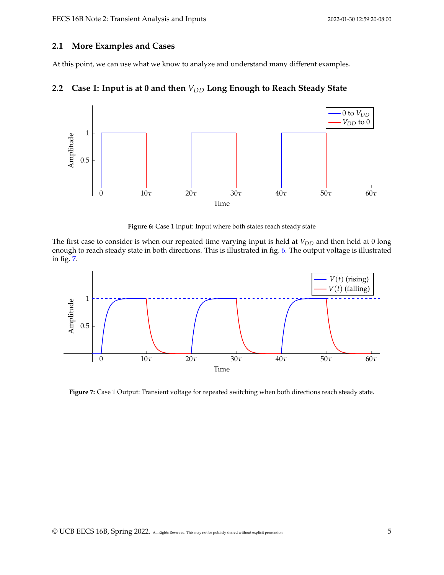### **2.1 More Examples and Cases**

At this point, we can use what we know to analyze and understand many different examples.



<span id="page-4-0"></span>

**Figure 6:** Case 1 Input: Input where both states reach steady state

The first case to consider is when our repeated time varying input is held at *V<sub>DD</sub>* and then held at 0 long enough to reach steady state in both directions. This is illustrated in fig. [6.](#page-4-0) The output voltage is illustrated in fig. [7.](#page-4-1)

<span id="page-4-1"></span>

**Figure 7:** Case 1 Output: Transient voltage for repeated switching when both directions reach steady state.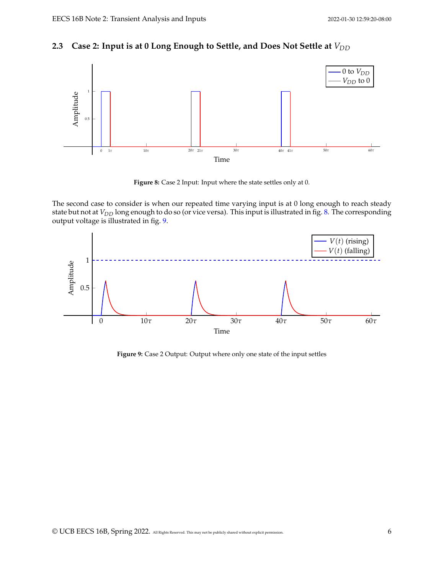## **2.3** Case 2: Input is at 0 Long Enough to Settle, and Does Not Settle at  $V_{DD}$

<span id="page-5-0"></span>

**Figure 8:** Case 2 Input: Input where the state settles only at 0.

The second case to consider is when our repeated time varying input is at 0 long enough to reach steady state but not at *V<sub>DD</sub>* long enough to do so (or vice versa). This input is illustrated in fig. [8.](#page-5-0) The corresponding output voltage is illustrated in fig. [9.](#page-5-1)

<span id="page-5-1"></span>

**Figure 9:** Case 2 Output: Output where only one state of the input settles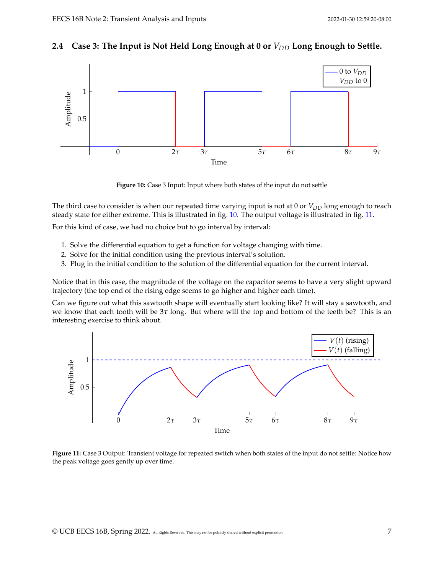# 2.4 Case 3: The Input is Not Held Long Enough at 0 or  $V_{DD}$  Long Enough to Settle.

<span id="page-6-0"></span>

**Figure 10:** Case 3 Input: Input where both states of the input do not settle

The third case to consider is when our repeated time varying input is not at 0 or *V<sub>DD</sub>* long enough to reach steady state for either extreme. This is illustrated in fig. [10.](#page-6-0) The output voltage is illustrated in fig. [11.](#page-6-1)

For this kind of case, we had no choice but to go interval by interval:

- 1. Solve the differential equation to get a function for voltage changing with time.
- 2. Solve for the initial condition using the previous interval's solution.
- 3. Plug in the initial condition to the solution of the differential equation for the current interval.

Notice that in this case, the magnitude of the voltage on the capacitor seems to have a very slight upward trajectory (the top end of the rising edge seems to go higher and higher each time).

Can we figure out what this sawtooth shape will eventually start looking like? It will stay a sawtooth, and we know that each tooth will be 3*τ* long. But where will the top and bottom of the teeth be? This is an interesting exercise to think about.

<span id="page-6-1"></span>

**Figure 11:** Case 3 Output: Transient voltage for repeated switch when both states of the input do not settle: Notice how the peak voltage goes gently up over time.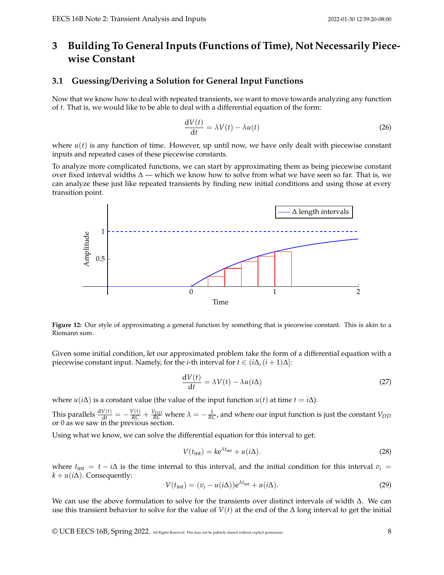# **3 Building To General Inputs (Functions of Time), Not Necessarily Piecewise Constant**

## **3.1 Guessing/Deriving a Solution for General Input Functions**

Now that we know how to deal with repeated transients, we want to move towards analyzing any function of *t*. That is, we would like to be able to deal with a differential equation of the form:

$$
\frac{dV(t)}{dt} = \lambda V(t) - \lambda u(t)
$$
\n(26)

where  $u(t)$  is any function of time. However, up until now, we have only dealt with piecewise constant inputs and repeated cases of these piecewise constants.

To analyze more complicated functions, we can start by approximating them as being piecewise constant over fixed interval widths  $\Delta$  — which we know how to solve from what we have seen so far. That is, we can analyze these just like repeated transients by finding new initial conditions and using those at every transition point.



**Figure 12:** Our style of approximating a general function by something that is piecewise constant. This is akin to a Riemann sum.

Given some initial condition, let our approximated problem take the form of a differential equation with a piecewise constant input. Namely, for the *i*-th interval for  $t \in (i\Delta, (i + 1)\Delta]$ :

$$
\frac{\mathrm{d}V(t)}{\mathrm{d}t} = \lambda V(t) - \lambda u(i\Delta) \tag{27}
$$

where *u*(*i* $\Delta$ ) is a constant value (the value of the input function *u*(*t*) at time *t* = *i* $\Delta$ ).

This parallels  $\frac{dV(t)}{dt} = -\frac{V(t)}{RC} + \frac{V_{DD}}{RC}$  where  $\lambda = -\frac{1}{RC}$ , and where our input function is just the constant  $V_{DD}$ or 0 as we saw in the previous section.

Using what we know, we can solve the differential equation for this interval to get:

$$
V(t_{\rm int}) = k e^{\lambda t_{\rm int}} + u(i\Delta). \tag{28}
$$

where  $t_{\text{int}} = t - i\Delta$  is the time internal to this interval, and the initial condition for this interval  $v_i =$  $k + u(i\Delta)$ . Consequently:

$$
V(t_{\rm int}) = (v_i - u(i\Delta))e^{\lambda t_{\rm int}} + u(i\Delta).
$$
 (29)

We can use the above formulation to solve for the transients over distinct intervals of width ∆. We can use this transient behavior to solve for the value of *V*(*t*) at the end of the ∆ long interval to get the initial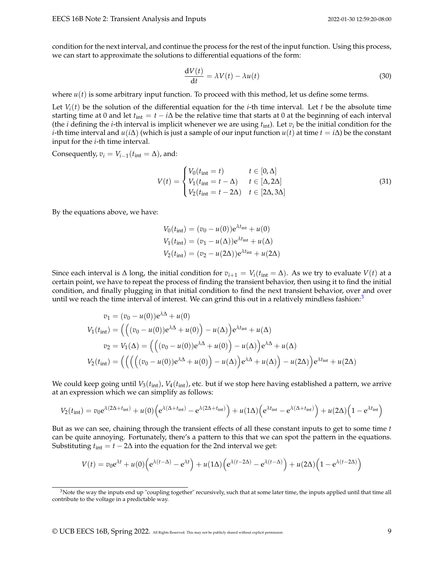condition for the next interval, and continue the process for the rest of the input function. Using this process, we can start to approximate the solutions to differential equations of the form:

$$
\frac{dV(t)}{dt} = \lambda V(t) - \lambda u(t)
$$
\n(30)

where  $u(t)$  is some arbitrary input function. To proceed with this method, let us define some terms.

Let  $V_i(t)$  be the solution of the differential equation for the *i*-th time interval. Let *t* be the absolute time starting time at 0 and let  $t_{\text{int}} = t - i\Delta$  be the relative time that starts at 0 at the beginning of each interval (the *i* defining the *i*-th interval is implicit whenever we are using  $t_{\text{int}}$ ). Let  $v_i$  be the initial condition for the *i*-th time interval and *u*(*i* $\Delta$ ) (which is just a sample of our input function *u*(*t*) at time *t* = *i* $\Delta$ ) be the constant input for the *i*-th time interval.

Consequently,  $v_i = V_{i-1}(t_{\text{int}} = \Delta)$ , and:

$$
V(t) = \begin{cases} V_0(t_{\text{int}} = t) & t \in [0, \Delta] \\ V_1(t_{\text{int}} = t - \Delta) & t \in [\Delta, 2\Delta] \\ V_2(t_{\text{int}} = t - 2\Delta) & t \in [2\Delta, 3\Delta] \end{cases}
$$
(31)

By the equations above, we have:

$$
V_0(t_{\text{int}}) = (v_0 - u(0))e^{\lambda t_{\text{int}}} + u(0)
$$
  
\n
$$
V_1(t_{\text{int}}) = (v_1 - u(\Delta))e^{\lambda t_{\text{int}}} + u(\Delta)
$$
  
\n
$$
V_2(t_{\text{int}}) = (v_2 - u(2\Delta))e^{\lambda t_{\text{int}}} + u(2\Delta)
$$

Since each interval is  $\Delta$  long, the initial condition for  $v_{i+1} = V_i(t_{\text{int}} = \Delta)$ . As we try to evaluate  $V(t)$  at a certain point, we have to repeat the process of finding the transient behavior, then using it to find the initial condition, and finally plugging in that initial condition to find the next transient behavior, over and over until we reach the time interval of interest. We can grind this out in a relatively mindless fashion: $3$ 

$$
v_1 = (v_0 - u(0))e^{\lambda \Delta} + u(0)
$$
  
\n
$$
V_1(t_{int}) = \left( \left( (v_0 - u(0))e^{\lambda \Delta} + u(0) \right) - u(\Delta) \right) e^{\lambda t_{int}} + u(\Delta)
$$
  
\n
$$
v_2 = V_1(\Delta) = \left( \left( (v_0 - u(0))e^{\lambda \Delta} + u(0) \right) - u(\Delta) \right) e^{\lambda \Delta} + u(\Delta)
$$
  
\n
$$
V_2(t_{int}) = \left( \left( \left( (v_0 - u(0))e^{\lambda \Delta} + u(0) \right) - u(\Delta) \right) e^{\lambda \Delta} + u(\Delta) \right) - u(2\Delta) \right) e^{\lambda t_{int}} + u(2\Delta)
$$

We could keep going until *V*3(*t*int), *V*4(*t*int), etc. but if we stop here having established a pattern, we arrive at an expression which we can simplify as follows:

$$
V_2(t_{\rm int}) = v_0 e^{\lambda(2\Delta + t_{\rm int})} + u(0) \Big( e^{\lambda(\Delta + t_{\rm int})} - e^{\lambda(2\Delta + t_{\rm int})} \Big) + u(1\Delta) \Big( e^{\lambda t_{\rm int}} - e^{\lambda(\Delta + t_{\rm int})} \Big) + u(2\Delta) \Big( 1 - e^{\lambda t_{\rm int}} \Big)
$$

But as we can see, chaining through the transient effects of all these constant inputs to get to some time *t* can be quite annoying. Fortunately, there's a pattern to this that we can spot the pattern in the equations. Substituting  $t_{\text{int}} = t - 2\Delta$  into the equation for the 2nd interval we get:

$$
V(t) = v_0 e^{\lambda t} + u(0) \Big( e^{\lambda(t-\Delta)} - e^{\lambda t} \Big) + u(1\Delta) \Big( e^{\lambda(t-2\Delta)} - e^{\lambda(t-\Delta)} \Big) + u(2\Delta) \Big( 1 - e^{\lambda(t-2\Delta)} \Big)
$$

<span id="page-8-0"></span> $3$ Note the way the inputs end up "coupling together" recursively, such that at some later time, the inputs applied until that time all contribute to the voltage in a predictable way.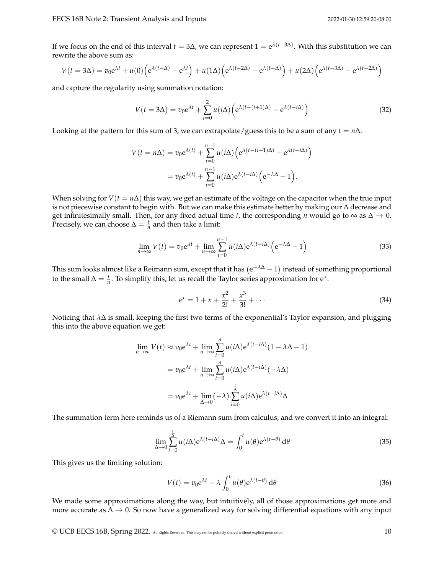If we focus on the end of this interval *t* = 3∆, we can represent 1 = e *λ*(*t*−3∆) . With this substitution we can rewrite the above sum as:

$$
V(t = 3\Delta) = v_0 e^{\lambda t} + u(0) \left( e^{\lambda(t - \Delta)} - e^{\lambda t} \right) + u(1\Delta) \left( e^{\lambda(t - 2\Delta)} - e^{\lambda(t - \Delta)} \right) + u(2\Delta) \left( e^{\lambda(t - 3\Delta)} - e^{\lambda(t - 2\Delta)} \right)
$$

and capture the regularity using summation notation:

$$
V(t = 3\Delta) = v_0 e^{\lambda t} + \sum_{i=0}^{2} u(i\Delta) \left( e^{\lambda(t - (i+1)\Delta)} - e^{\lambda(t - i\Delta)} \right)
$$
(32)

Looking at the pattern for this sum of 3, we can extrapolate/guess this to be a sum of any  $t = n\Delta$ .

$$
V(t = n\Delta) = v_0 e^{\lambda(t)} + \sum_{i=0}^{n-1} u(i\Delta) \left( e^{\lambda(t - (i+1)\Delta)} - e^{\lambda(t - i\Delta)} \right)
$$
  
=  $v_0 e^{\lambda(t)} + \sum_{i=0}^{n-1} u(i\Delta) e^{\lambda(t - i\Delta)} \left( e^{-\lambda\Delta} - 1 \right).$ 

When solving for  $V(t = n\Delta)$  this way, we get an estimate of the voltage on the capacitor when the true input is not piecewise constant to begin with. But we can make this estimate better by making our ∆ decrease and get infinitesimally small. Then, for any fixed actual time *t*, the corresponding *n* would go to  $\infty$  as  $\Delta \to 0$ . Precisely, we can choose  $\Delta = \frac{t}{n}$  and then take a limit:

$$
\lim_{n \to \infty} V(t) = v_0 e^{\lambda t} + \lim_{n \to \infty} \sum_{i=0}^{n-1} u(i\Delta) e^{\lambda(t-i\Delta)} \left( e^{-\lambda \Delta} - 1 \right)
$$
 (33)

This sum looks almost like a Reimann sum, except that it has  $(e^{-\lambda \Delta} - 1)$  instead of something proportional to the small  $\Delta = \frac{t}{n}$ . To simplify this, let us recall the Taylor series approximation for e<sup>x</sup>.

$$
e^{x} = 1 + x + \frac{x^{2}}{2!} + \frac{x^{3}}{3!} + \cdots
$$
 (34)

Noticing that *λ*∆ is small, keeping the first two terms of the exponential's Taylor expansion, and plugging this into the above equation we get:

$$
\lim_{n \to \infty} V(t) \approx v_0 e^{\lambda t} + \lim_{n \to \infty} \sum_{i=0}^n u(i\Delta) e^{\lambda(t - i\Delta)} (1 - \lambda \Delta - 1)
$$

$$
= v_0 e^{\lambda t} + \lim_{n \to \infty} \sum_{i=0}^n u(i\Delta) e^{\lambda(t - i\Delta)} (-\lambda \Delta)
$$

$$
= v_0 e^{\lambda t} + \lim_{\Delta \to 0} (-\lambda) \sum_{i=0}^{\frac{t}{\Delta}} u(i\Delta) e^{\lambda(t - i\Delta)} \Delta
$$

The summation term here reminds us of a Riemann sum from calculus, and we convert it into an integral:

$$
\lim_{\Delta \to 0} \sum_{i=0}^{\frac{t}{\Delta}} u(i\Delta) e^{\lambda(t-i\Delta)} \Delta = \int_0^t u(\theta) e^{\lambda(t-\theta)} d\theta \tag{35}
$$

This gives us the limiting solution:

$$
V(t) = v_0 e^{\lambda t} - \lambda \int_0^t u(\theta) e^{\lambda(t-\theta)} d\theta
$$
\n(36)

We made some approximations along the way, but intuitively, all of those approximations get more and more accurate as  $\Delta \to 0$ . So now have a generalized way for solving differential equations with any input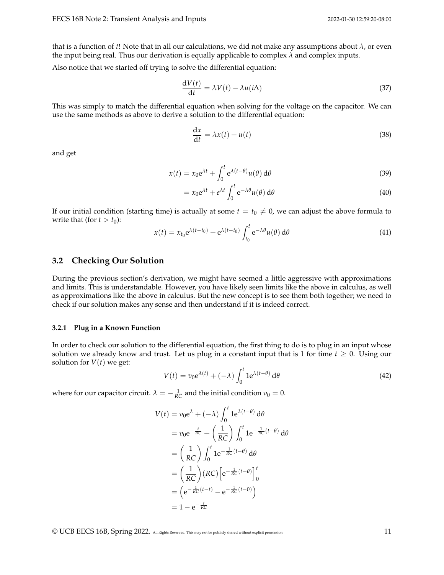that is a function of *t*! Note that in all our calculations, we did not make any assumptions about *λ*, or even the input being real. Thus our derivation is equally applicable to complex *λ* and complex inputs.

Also notice that we started off trying to solve the differential equation:

$$
\frac{dV(t)}{dt} = \lambda V(t) - \lambda u(i\Delta)
$$
\n(37)

This was simply to match the differential equation when solving for the voltage on the capacitor. We can use the same methods as above to derive a solution to the differential equation:

$$
\frac{\mathrm{d}x}{\mathrm{d}t} = \lambda x(t) + u(t) \tag{38}
$$

and get

$$
x(t) = x_0 e^{\lambda t} + \int_0^t e^{\lambda(t-\theta)} u(\theta) d\theta
$$
 (39)

$$
= x_0 e^{\lambda t} + e^{\lambda t} \int_0^t e^{-\lambda \theta} u(\theta) d\theta
$$
 (40)

If our initial condition (starting time) is actually at some  $t = t_0 \neq 0$ , we can adjust the above formula to write that (for  $t > t_0$ ):

$$
x(t) = x_{t_0} e^{\lambda(t - t_0)} + e^{\lambda(t - t_0)} \int_{t_0}^t e^{-\lambda \theta} u(\theta) d\theta
$$
 (41)

### **3.2 Checking Our Solution**

During the previous section's derivation, we might have seemed a little aggressive with approximations and limits. This is understandable. However, you have likely seen limits like the above in calculus, as well as approximations like the above in calculus. But the new concept is to see them both together; we need to check if our solution makes any sense and then understand if it is indeed correct.

#### **3.2.1 Plug in a Known Function**

In order to check our solution to the differential equation, the first thing to do is to plug in an input whose solution we already know and trust. Let us plug in a constant input that is 1 for time  $t \geq 0$ . Using our solution for  $V(t)$  we get:

$$
V(t) = v_0 e^{\lambda(t)} + (-\lambda) \int_0^t 1 e^{\lambda(t-\theta)} d\theta
$$
 (42)

where for our capacitor circuit.  $\lambda = -\frac{1}{RC}$  and the initial condition  $v_0 = 0$ .

$$
V(t) = v_0 e^{\lambda} + (-\lambda) \int_0^t 1 e^{\lambda(t-\theta)} d\theta
$$
  
=  $v_0 e^{-\frac{t}{RC}} + \left(\frac{1}{RC}\right) \int_0^t 1 e^{-\frac{1}{RC}(t-\theta)} d\theta$   
=  $\left(\frac{1}{RC}\right) \int_0^t 1 e^{-\frac{1}{RC}(t-\theta)} d\theta$   
=  $\left(\frac{1}{RC}\right) (RC) \left[e^{-\frac{1}{RC}(t-\theta)}\right]_0^t$   
=  $\left(e^{-\frac{1}{RC}(t-t)} - e^{-\frac{1}{RC}(t-0)}\right)$   
=  $1 - e^{-\frac{t}{RC}}$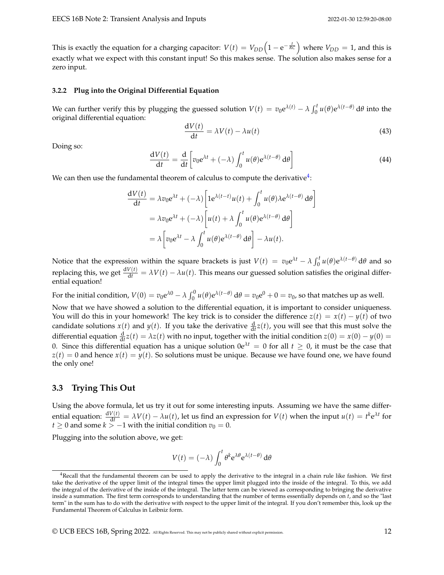This is exactly the equation for a charging capacitor:  $V(t) = V_{DD}\Big(1-{\rm e}^{-\frac{t}{RC}}\Big)$  where  $V_{DD}=1$ , and this is exactly what we expect with this constant input! So this makes sense. The solution also makes sense for a zero input.

#### **3.2.2 Plug into the Original Differential Equation**

We can further verify this by plugging the guessed solution  $V(t) = v_0 e^{\lambda(t)} - \lambda \int_0^t u(\theta) e^{\lambda(t-\theta)} d\theta$  into the original differential equation:

$$
\frac{\mathrm{d}V(t)}{\mathrm{d}t} = \lambda V(t) - \lambda u(t) \tag{43}
$$

Doing so:

$$
\frac{dV(t)}{dt} = \frac{d}{dt} \left[ v_0 e^{\lambda t} + (-\lambda) \int_0^t u(\theta) e^{\lambda(t-\theta)} d\theta \right]
$$
(44)

We can then use the fundamental theorem of calculus to compute the derivative $^4$  $^4$ :

$$
\frac{dV(t)}{dt} = \lambda v_0 e^{\lambda t} + (-\lambda) \left[ 1 e^{\lambda (t-t)} u(t) + \int_0^t u(\theta) \lambda e^{\lambda (t-\theta)} d\theta \right]
$$
  
=  $\lambda v_0 e^{\lambda t} + (-\lambda) \left[ u(t) + \lambda \int_0^t u(\theta) e^{\lambda (t-\theta)} d\theta \right]$   
=  $\lambda \left[ v_0 e^{\lambda t} - \lambda \int_0^t u(\theta) e^{\lambda (t-\theta)} d\theta \right] - \lambda u(t).$ 

Notice that the expression within the square brackets is just  $V(t) = v_0 e^{\lambda t} - \lambda \int_0^t u(\theta) e^{\lambda(t-\theta)} d\theta$  and so replacing this, we get  $\frac{dV(t)}{dt} = \lambda V(t) - \lambda u(t)$ . This means our guessed solution satisfies the original differential equation!

For the initial condition,  $V(0) = v_0 e^{\lambda 0} - \lambda \int_0^0 u(\theta) e^{\lambda(t-\theta)} d\theta = v_0 e^0 + 0 = v_0$ , so that matches up as well.

Now that we have showed a solution to the differential equation, it is important to consider uniqueness. You will do this in your homework! The key trick is to consider the difference  $z(t) = x(t) - y(t)$  of two candidate solutions  $x(t)$  and  $y(t)$ . If you take the derivative  $\frac{d}{dt}z(t)$ , you will see that this must solve the differential equation  $\frac{d}{dt}z(t) = \lambda z(t)$  with no input, together with the initial condition  $z(0) = x(0) - y(0) =$ 0. Since this differential equation has a unique solution  $0e^{\lambda t} = 0$  for all  $t \ge 0$ , it must be the case that  $z(t) = 0$  and hence  $x(t) = y(t)$ . So solutions must be unique. Because we have found one, we have found the only one!

### **3.3 Trying This Out**

Using the above formula, let us try it out for some interesting inputs. Assuming we have the same differential equation:  $\frac{dV(t)}{dt} = \lambda V(t) - \lambda u(t)$ , let us find an expression for  $V(t)$  when the input  $u(t) = t^k e^{\lambda t}$  for *t* ≥ 0 and some *k* > −1 with the initial condition  $v_0 = 0$ .

Plugging into the solution above, we get:

$$
V(t) = (-\lambda) \int_0^t \theta^k e^{\lambda \theta} e^{\lambda (t-\theta)} d\theta
$$

<span id="page-11-0"></span><sup>&</sup>lt;sup>4</sup>Recall that the fundamental theorem can be used to apply the derivative to the integral in a chain rule like fashion. We first take the derivative of the upper limit of the integral times the upper limit plugged into the inside of the integral. To this, we add the integral of the derivative of the inside of the integral. The latter term can be viewed as corresponding to bringing the derivative inside a summation. The first term corresponds to understanding that the number of terms essentially depends on *t*, and so the "last term" in the sum has to do with the derivative with respect to the upper limit of the integral. If you don't remember this, look up the Fundamental Theorem of Calculus in Leibniz form.